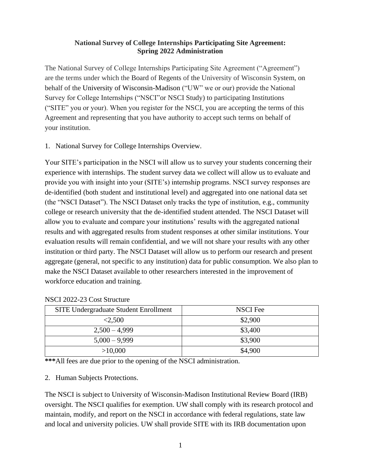### **National Survey of College Internships Participating Site Agreement: Spring 2022 Administration**

The National Survey of College Internships Participating Site Agreement ("Agreement") are the terms under which the Board of Regents of the University of Wisconsin System, on behalf of the University of Wisconsin-Madison ("UW" we or our) provide the National Survey for College Internships ("NSCI"or NSCI Study) to participating Institutions ("SITE" you or your). When you register for the NSCI, you are accepting the terms of this Agreement and representing that you have authority to accept such terms on behalf of your institution.

1. National Survey for College Internships Overview.

Your SITE's participation in the NSCI will allow us to survey your students concerning their experience with internships. The student survey data we collect will allow us to evaluate and provide you with insight into your (SITE's) internship programs. NSCI survey responses are de-identified (both student and institutional level) and aggregated into one national data set (the "NSCI Dataset"). The NSCI Dataset only tracks the type of institution, e.g., community college or research university that the de-identified student attended. The NSCI Dataset will allow you to evaluate and compare your institutions' results with the aggregated national results and with aggregated results from student responses at other similar institutions. Your evaluation results will remain confidential, and we will not share your results with any other institution or third party. The NSCI Dataset will allow us to perform our research and present aggregate (general, not specific to any institution) data for public consumption. We also plan to make the NSCI Dataset available to other researchers interested in the improvement of workforce education and training.

| <b>SITE Undergraduate Student Enrollment</b> | <b>NSCI</b> Fee |
|----------------------------------------------|-----------------|
| < 2.500                                      | \$2,900         |
| $2,500 - 4,999$                              | \$3,400         |
| $5,000 - 9,999$                              | \$3,900         |
| >10,000                                      | \$4,900         |

#### NSCI 2022-23 Cost Structure

**\*\*\***All fees are due prior to the opening of the NSCI administration.

### 2. Human Subjects Protections.

The NSCI is subject to University of Wisconsin-Madison Institutional Review Board (IRB) oversight. The NSCI qualifies for exemption. UW shall comply with its research protocol and maintain, modify, and report on the NSCI in accordance with federal regulations, state law and local and university policies. UW shall provide SITE with its IRB documentation upon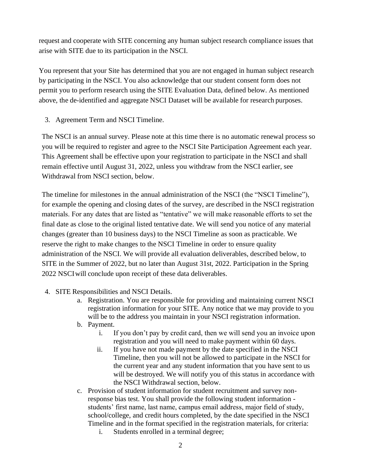request and cooperate with SITE concerning any human subject research compliance issues that arise with SITE due to its participation in the NSCI.

You represent that your Site has determined that you are not engaged in human subject research by participating in the NSCI. You also acknowledge that our student consent form does not permit you to perform research using the SITE Evaluation Data, defined below. As mentioned above, the de-identified and aggregate NSCI Dataset will be available for research purposes.

3. Agreement Term and NSCI Timeline.

The NSCI is an annual survey. Please note at this time there is no automatic renewal process so you will be required to register and agree to the NSCI Site Participation Agreement each year. This Agreement shall be effective upon your registration to participate in the NSCI and shall remain effective until August 31, 2022, unless you withdraw from the NSCI earlier, see Withdrawal from NSCI section, below.

The timeline for milestones in the annual administration of the NSCI (the "NSCI Timeline"), for example the opening and closing dates of the survey, are described in the NSCI registration materials. For any dates that are listed as "tentative" we will make reasonable efforts to set the final date as close to the original listed tentative date. We will send you notice of any material changes (greater than 10 business days) to the NSCI Timeline as soon as practicable. We reserve the right to make changes to the NSCI Timeline in order to ensure quality administration of the NSCI. We will provide all evaluation deliverables, described below, to SITE in the Summer of 2022, but no later than August 31st, 2022. Participation in the Spring 2022 NSCI will conclude upon receipt of these data deliverables.

- 4. SITE Responsibilities and NSCI Details.
	- a. Registration. You are responsible for providing and maintaining current NSCI registration information for your SITE. Any notice that we may provide to you will be to the address you maintain in your NSCI registration information.
	- b. Payment.
		- i. If you don't pay by credit card, then we will send you an invoice upon registration and you will need to make payment within 60 days.
		- ii. If you have not made payment by the date specified in the NSCI Timeline, then you will not be allowed to participate in the NSCI for the current year and any student information that you have sent to us will be destroyed. We will notify you of this status in accordance with the NSCI Withdrawal section, below.
	- c. Provision of student information for student recruitment and survey nonresponse bias test. You shall provide the following student information students' first name, last name, campus email address, major field of study, school/college, and credit hours completed, by the date specified in the NSCI Timeline and in the format specified in the registration materials, for criteria:
		- i. Students enrolled in a terminal degree;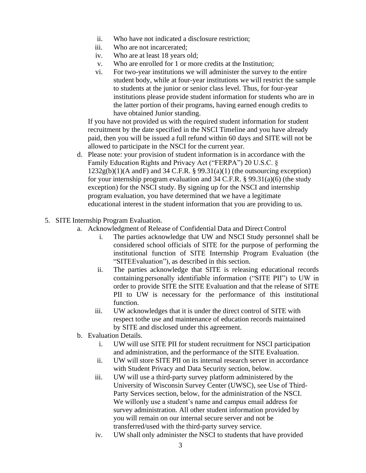- ii. Who have not indicated a disclosure restriction;
- iii. Who are not incarcerated;
- iv. Who are at least 18 years old;
- v. Who are enrolled for 1 or more credits at the Institution;
- vi. For two-year institutions we will administer the survey to the entire student body, while at four-year institutions we will restrict the sample to students at the junior or senior class level. Thus, for four-year institutions please provide student information for students who are in the latter portion of their programs, having earned enough credits to have obtained Junior standing.

If you have not provided us with the required student information for student recruitment by the date specified in the NSCI Timeline and you have already paid, then you will be issued a full refund within 60 days and SITE will not be allowed to participate in the NSCI for the current year.

- d. Please note: your provision of student information is in accordance with the Family Education Rights and Privacy Act ("FERPA") 20 U.S.C. §  $1232g(b)(1)(A \text{ and } F)$  and  $34 \text{ C.F.R. }$  § 99.31(a)(1) (the outsourcing exception) for your internship program evaluation and 34 C.F.R. § 99.31(a)(6) (the study exception) for the NSCI study. By signing up for the NSCI and internship program evaluation, you have determined that we have a legitimate educational interest in the student information that you are providing to us.
- 5. SITE Internship Program Evaluation.
	- a. Acknowledgment of Release of Confidential Data and Direct Control
		- i. The parties acknowledge that UW and NSCI Study personnel shall be considered school officials of SITE for the purpose of performing the institutional function of SITE Internship Program Evaluation (the "SITEEvaluation"), as described in this section.
		- ii. The parties acknowledge that SITE is releasing educational records containing personally identifiable information ("SITE PII") to UW in order to provide SITE the SITE Evaluation and that the release of SITE PII to UW is necessary for the performance of this institutional function.
		- iii. UW acknowledges that it is under the direct control of SITE with respect tothe use and maintenance of education records maintained by SITE and disclosed under this agreement.
	- b. Evaluation Details.
		- i. UW will use SITE PII for student recruitment for NSCI participation and administration, and the performance of the SITE Evaluation.
		- ii. UW will store SITE PII on its internal research server in accordance with Student Privacy and Data Security section, below.
		- iii. UW will use a third-party survey platform administered by the University of Wisconsin Survey Center (UWSC), see Use of Third-Party Services section, below, for the administration of the NSCI. We willonly use a student's name and campus email address for survey administration. All other student information provided by you will remain on our internal secure server and not be transferred/used with the third-party survey service.
		- iv. UW shall only administer the NSCI to students that have provided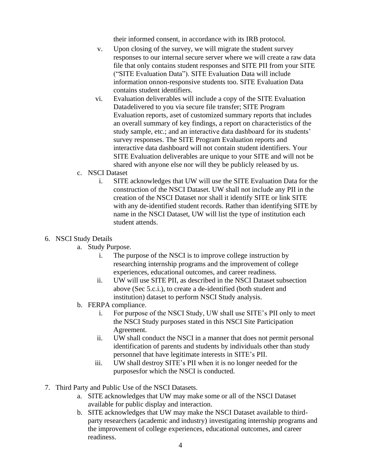their informed consent, in accordance with its IRB protocol.

- v. Upon closing of the survey, we will migrate the student survey responses to our internal secure server where we will create a raw data file that only contains student responses and SITE PII from your SITE ("SITE Evaluation Data"). SITE Evaluation Data will include information onnon-responsive students too. SITE Evaluation Data contains student identifiers.
- vi. Evaluation deliverables will include a copy of the SITE Evaluation Datadelivered to you via secure file transfer; SITE Program Evaluation reports, aset of customized summary reports that includes an overall summary of key findings, a report on characteristics of the study sample, etc.; and an interactive data dashboard for its students' survey responses. The SITE Program Evaluation reports and interactive data dashboard will not contain student identifiers. Your SITE Evaluation deliverables are unique to your SITE and will not be shared with anyone else nor will they be publicly released by us.
- c. NSCI Dataset
	- i. SITE acknowledges that UW will use the SITE Evaluation Data for the construction of the NSCI Dataset. UW shall not include any PII in the creation of the NSCI Dataset nor shall it identify SITE or link SITE with any de-identified student records. Rather than identifying SITE by name in the NSCI Dataset, UW will list the type of institution each student attends.

#### 6. NSCI Study Details

- a. Study Purpose.
	- i. The purpose of the NSCI is to improve college instruction by researching internship programs and the improvement of college experiences, educational outcomes, and career readiness.
	- ii. UW will use SITE PII, as described in the NSCI Dataset subsection above (Sec 5.c.i.), to create a de-identified (both student and institution) dataset to perform NSCI Study analysis.
- b. FERPA compliance.
	- i. For purpose of the NSCI Study, UW shall use SITE's PII only to meet the NSCI Study purposes stated in this NSCI Site Participation Agreement.
	- ii. UW shall conduct the NSCI in a manner that does not permit personal identification of parents and students by individuals other than study personnel that have legitimate interests in SITE's PII.
	- iii. UW shall destroy SITE's PII when it is no longer needed for the purposesfor which the NSCI is conducted.
- 7. Third Party and Public Use of the NSCI Datasets.
	- a. SITE acknowledges that UW may make some or all of the NSCI Dataset available for public display and interaction.
	- b. SITE acknowledges that UW may make the NSCI Dataset available to thirdparty researchers (academic and industry) investigating internship programs and the improvement of college experiences, educational outcomes, and career readiness.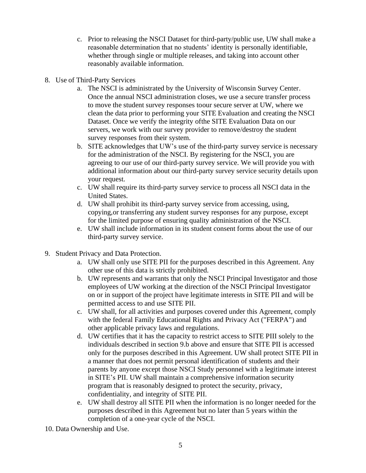- c. Prior to releasing the NSCI Dataset for third-party/public use, UW shall make a reasonable determination that no students' identity is personally identifiable, whether through single or multiple releases, and taking into account other reasonably available information.
- 8. Use of Third-Party Services
	- a. The NSCI is administrated by the University of Wisconsin Survey Center. Once the annual NSCI administration closes, we use a secure transfer process to move the student survey responses toour secure server at UW, where we clean the data prior to performing your SITE Evaluation and creating the NSCI Dataset. Once we verify the integrity ofthe SITE Evaluation Data on our servers, we work with our survey provider to remove/destroy the student survey responses from their system.
	- b. SITE acknowledges that UW's use of the third-party survey service is necessary for the administration of the NSCI. By registering for the NSCI, you are agreeing to our use of our third-party survey service. We will provide you with additional information about our third-party survey service security details upon your request.
	- c. UW shall require its third-party survey service to process all NSCI data in the United States.
	- d. UW shall prohibit its third-party survey service from accessing, using, copying,or transferring any student survey responses for any purpose, except for the limited purpose of ensuring quality administration of the NSCI.
	- e. UW shall include information in its student consent forms about the use of our third-party survey service.
- 9. Student Privacy and Data Protection.
	- a. UW shall only use SITE PII for the purposes described in this Agreement. Any other use of this data is strictly prohibited.
	- b. UW represents and warrants that only the NSCI Principal Investigator and those employees of UW working at the direction of the NSCI Principal Investigator on or in support of the project have legitimate interests in SITE PII and will be permitted access to and use SITE PII.
	- c. UW shall, for all activities and purposes covered under this Agreement, comply with the federal Family Educational Rights and Privacy Act ("FERPA") and other applicable privacy laws and regulations.
	- d. UW certifies that it has the capacity to restrict access to SITE PIII solely to the individuals described in section 9.b above and ensure that SITE PII is accessed only for the purposes described in this Agreement. UW shall protect SITE PII in a manner that does not permit personal identification of students and their parents by anyone except those NSCI Study personnel with a legitimate interest in SITE's PII. UW shall maintain a comprehensive information security program that is reasonably designed to protect the security, privacy, confidentiality, and integrity of SITE PII.
	- e. UW shall destroy all SITE PII when the information is no longer needed for the purposes described in this Agreement but no later than 5 years within the completion of a one-year cycle of the NSCI.
- 10. Data Ownership and Use.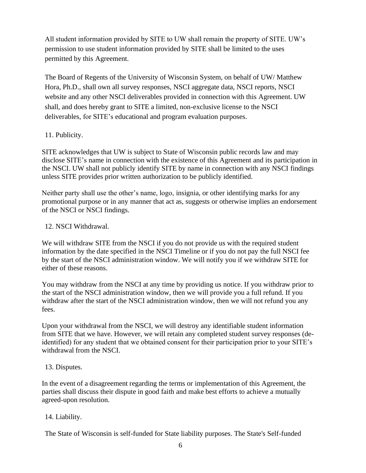All student information provided by SITE to UW shall remain the property of SITE. UW's permission to use student information provided by SITE shall be limited to the uses permitted by this Agreement.

The Board of Regents of the University of Wisconsin System, on behalf of UW/ Matthew Hora, Ph.D., shall own all survey responses, NSCI aggregate data, NSCI reports, NSCI website and any other NSCI deliverables provided in connection with this Agreement. UW shall, and does hereby grant to SITE a limited, non-exclusive license to the NSCI deliverables, for SITE's educational and program evaluation purposes.

### 11. Publicity.

SITE acknowledges that UW is subject to State of Wisconsin public records law and may disclose SITE's name in connection with the existence of this Agreement and its participation in the NSCI. UW shall not publicly identify SITE by name in connection with any NSCI findings unless SITE provides prior written authorization to be publicly identified.

Neither party shall use the other's name, logo, insignia, or other identifying marks for any promotional purpose or in any manner that act as, suggests or otherwise implies an endorsement of the NSCI or NSCI findings.

### 12. NSCI Withdrawal.

We will withdraw SITE from the NSCI if you do not provide us with the required student information by the date specified in the NSCI Timeline or if you do not pay the full NSCI fee by the start of the NSCI administration window. We will notify you if we withdraw SITE for either of these reasons.

You may withdraw from the NSCI at any time by providing us notice. If you withdraw prior to the start of the NSCI administration window, then we will provide you a full refund. If you withdraw after the start of the NSCI administration window, then we will not refund you any fees.

Upon your withdrawal from the NSCI, we will destroy any identifiable student information from SITE that we have. However, we will retain any completed student survey responses (deidentified) for any student that we obtained consent for their participation prior to your SITE's withdrawal from the NSCI.

### 13. Disputes.

In the event of a disagreement regarding the terms or implementation of this Agreement, the parties shall discuss their dispute in good faith and make best efforts to achieve a mutually agreed-upon resolution.

# 14. Liability.

The State of Wisconsin is self-funded for State liability purposes. The State's Self-funded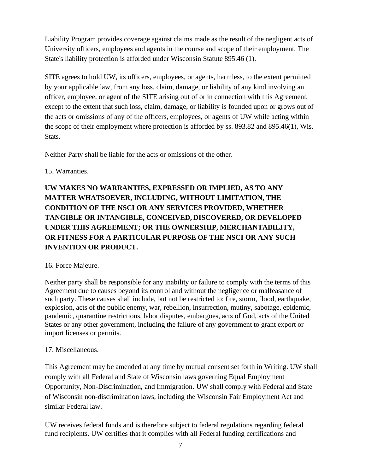Liability Program provides coverage against claims made as the result of the negligent acts of University officers, employees and agents in the course and scope of their employment. The State's liability protection is afforded under Wisconsin Statute 895.46 (1).

SITE agrees to hold UW, its officers, employees, or agents, harmless, to the extent permitted by your applicable law, from any loss, claim, damage, or liability of any kind involving an officer, employee, or agent of the SITE arising out of or in connection with this Agreement, except to the extent that such loss, claim, damage, or liability is founded upon or grows out of the acts or omissions of any of the officers, employees, or agents of UW while acting within the scope of their employment where protection is afforded by ss. 893.82 and 895.46(1), Wis. Stats.

Neither Party shall be liable for the acts or omissions of the other.

# 15. Warranties.

**UW MAKES NO WARRANTIES, EXPRESSED OR IMPLIED, AS TO ANY MATTER WHATSOEVER, INCLUDING, WITHOUT LIMITATION, THE CONDITION OF THE NSCI OR ANY SERVICES PROVIDED, WHETHER TANGIBLE OR INTANGIBLE, CONCEIVED, DISCOVERED, OR DEVELOPED UNDER THIS AGREEMENT; OR THE OWNERSHIP, MERCHANTABILITY, OR FITNESS FOR A PARTICULAR PURPOSE OF THE NSCI OR ANY SUCH INVENTION OR PRODUCT.**

# 16. Force Majeure.

Neither party shall be responsible for any inability or failure to comply with the terms of this Agreement due to causes beyond its control and without the negligence or malfeasance of such party. These causes shall include, but not be restricted to: fire, storm, flood, earthquake, explosion, acts of the public enemy, war, rebellion, insurrection, mutiny, sabotage, epidemic, pandemic, quarantine restrictions, labor disputes, embargoes, acts of God, acts of the United States or any other government, including the failure of any government to grant export or import licenses or permits.

# 17. Miscellaneous.

This Agreement may be amended at any time by mutual consent set forth in Writing. UW shall comply with all Federal and State of Wisconsin laws governing Equal Employment Opportunity, Non-Discrimination, and Immigration. UW shall comply with Federal and State of Wisconsin non-discrimination laws, including the Wisconsin Fair Employment Act and similar Federal law.

UW receives federal funds and is therefore subject to federal regulations regarding federal fund recipients. UW certifies that it complies with all Federal funding certifications and